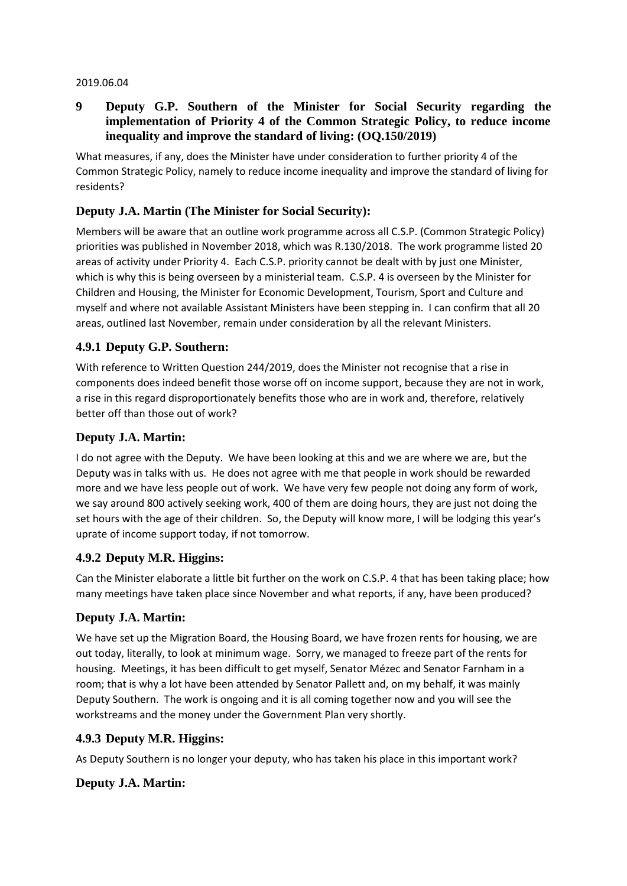#### 2019.06.04

## **9 Deputy G.P. Southern of the Minister for Social Security regarding the implementation of Priority 4 of the Common Strategic Policy, to reduce income inequality and improve the standard of living: (OQ.150/2019)**

What measures, if any, does the Minister have under consideration to further priority 4 of the Common Strategic Policy, namely to reduce income inequality and improve the standard of living for residents?

# **Deputy J.A. Martin (The Minister for Social Security):**

Members will be aware that an outline work programme across all C.S.P. (Common Strategic Policy) priorities was published in November 2018, which was R.130/2018. The work programme listed 20 areas of activity under Priority 4. Each C.S.P. priority cannot be dealt with by just one Minister, which is why this is being overseen by a ministerial team. C.S.P. 4 is overseen by the Minister for Children and Housing, the Minister for Economic Development, Tourism, Sport and Culture and myself and where not available Assistant Ministers have been stepping in. I can confirm that all 20 areas, outlined last November, remain under consideration by all the relevant Ministers.

### **4.9.1 Deputy G.P. Southern:**

With reference to Written Question 244/2019, does the Minister not recognise that a rise in components does indeed benefit those worse off on income support, because they are not in work, a rise in this regard disproportionately benefits those who are in work and, therefore, relatively better off than those out of work?

### **Deputy J.A. Martin:**

I do not agree with the Deputy. We have been looking at this and we are where we are, but the Deputy was in talks with us. He does not agree with me that people in work should be rewarded more and we have less people out of work. We have very few people not doing any form of work, we say around 800 actively seeking work, 400 of them are doing hours, they are just not doing the set hours with the age of their children. So, the Deputy will know more, I will be lodging this year's uprate of income support today, if not tomorrow.

### **4.9.2 Deputy M.R. Higgins:**

Can the Minister elaborate a little bit further on the work on C.S.P. 4 that has been taking place; how many meetings have taken place since November and what reports, if any, have been produced?

### **Deputy J.A. Martin:**

We have set up the Migration Board, the Housing Board, we have frozen rents for housing, we are out today, literally, to look at minimum wage. Sorry, we managed to freeze part of the rents for housing. Meetings, it has been difficult to get myself, Senator Mézec and Senator Farnham in a room; that is why a lot have been attended by Senator Pallett and, on my behalf, it was mainly Deputy Southern. The work is ongoing and it is all coming together now and you will see the workstreams and the money under the Government Plan very shortly.

### **4.9.3 Deputy M.R. Higgins:**

As Deputy Southern is no longer your deputy, who has taken his place in this important work?

### **Deputy J.A. Martin:**